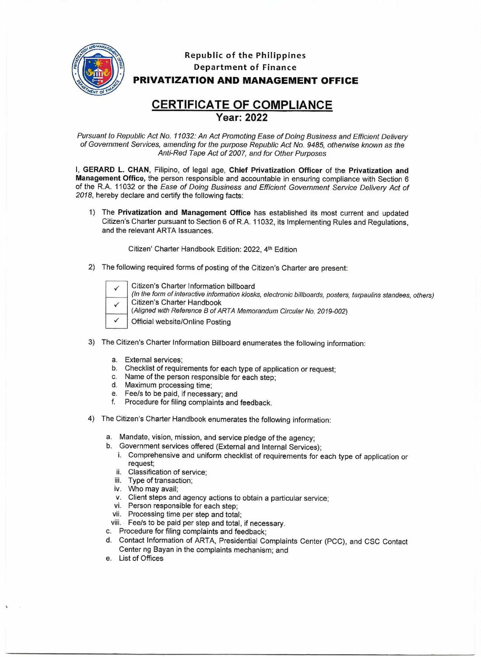

## **Republic of the Philippines Department of Finance PRIVATIZATION AND MANAGEMENT OFFICE**

## **CERTIFICATE OF COMPLIANCE Year: 2022**

Pursuant to Republic Act No. 11032: An Act Promoting Ease of Doing Business and Efficient Delivery of Government Services, amending for the purpose Republic Act No. 9485, otherwise known as the Anti-Red Tape Act of 2007, and for Other Purposes

**I, GERARD L. CHAN,** Filipino, of legal age, **Chief Privatization Officer** of the **Privatization and Management Office,** the person responsible and accountable in ensuring compliance with Section 6 of the R.A. 11032 or the Ease of Doing Business and Efficient Government Service Delivery Act of 2018, hereby declare and certify the following facts:

1) The **Privatization and Management Office** has established its most current and updated Citizen's Charter pursuant to Section 6 of R.A. 11032, its Implementing Rules and Regulations, and the relevant ARTA Issuances.

Citizen' Charter Handbook Edition: 2022, 4th Edition

2) The following required forms of posting of the Citizen's Charter are present:

|  | Citizen's Charter Information billboard<br>(In the form of interactive information kiosks, electronic billboards, posters, tarpaulins standees, others) |
|--|---------------------------------------------------------------------------------------------------------------------------------------------------------|
|  | Citizen's Charter Handbook<br>(Aligned with Reference B of ARTA Memorandum Circular No. 2019-002)                                                       |
|  | Official website/Online Posting                                                                                                                         |

- 3) The Citizen's Charter Information Billboard enumerates the following information:
	- a. External services;
	- b. Checklist of requirements for each type of application or request;
	- c. Name of the person responsible for each step;
	- d. Maximum processing time;
	- e. Fee/s to be paid, if necessary; and
	- f. Procedure for filing complaints and feedback.
- 4) The Citizen's Charter Handbook enumerates the following information:

a. Mandate, vision, mission, and service pledge of the agency;

- b. Government services offered (External and Internal Services);
	- i. Comprehensive and uniform checklist of requirements for each type of application or request;
	- ii. Classification of service;
	- iii. Type of transaction;
	- iv. Who may avail;
	- v. Client steps and agency actions to obtain a particular service;
	- vi. Person responsible for each step;
	- vii. Processing time per step and total;
- viii. Fee/s to be paid per step and total, if necessary.
- c. Procedure for filing complaints and feedback;
- d. Contact Information of ARTA, Presidential Complaints Center (PCC), and CSC Contact Center ng Bayan in the complaints mechanism; and
- e. List of Offices